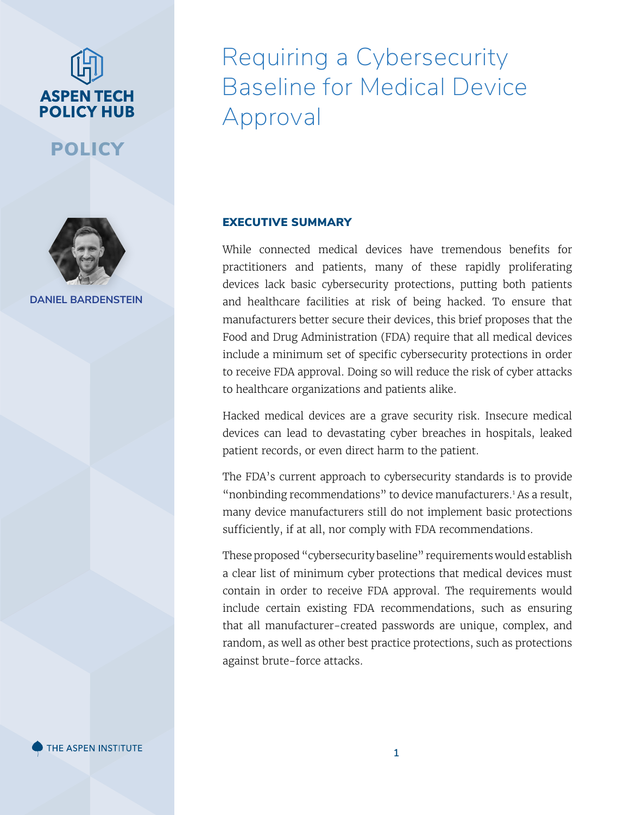# **ASPEN TECH POLICY HUB**

POLICY



**DANIEL BARDENSTEIN**

### Requiring a Cybersecurity Baseline for Medical Device Approval

#### EXECUTIVE SUMMARY

While connected medical devices have tremendous benefits for practitioners and patients, many of these rapidly proliferating devices lack basic cybersecurity protections, putting both patients and healthcare facilities at risk of being hacked. To ensure that manufacturers better secure their devices, this brief proposes that the Food and Drug Administration (FDA) require that all medical devices include a minimum set of specific cybersecurity protections in order to receive FDA approval. Doing so will reduce the risk of cyber attacks to healthcare organizations and patients alike.

Hacked medical devices are a grave security risk. Insecure medical devices can lead to devastating cyber breaches in hospitals, leaked patient records, or even direct harm to the patient.

The FDA's current approach to cybersecurity standards is to provide "nonbinding recommendations" to device manufacturers.<sup>1</sup> As a result, many device manufacturers still do not implement basic protections sufficiently, if at all, nor comply with FDA recommendations.

These proposed "cybersecurity baseline" requirements would establish a clear list of minimum cyber protections that medical devices must contain in order to receive FDA approval. The requirements would include certain existing FDA recommendations, such as ensuring that all manufacturer-created passwords are unique, complex, and random, as well as other best practice protections, such as protections against brute-force attacks.

THE ASPEN INSTITUTE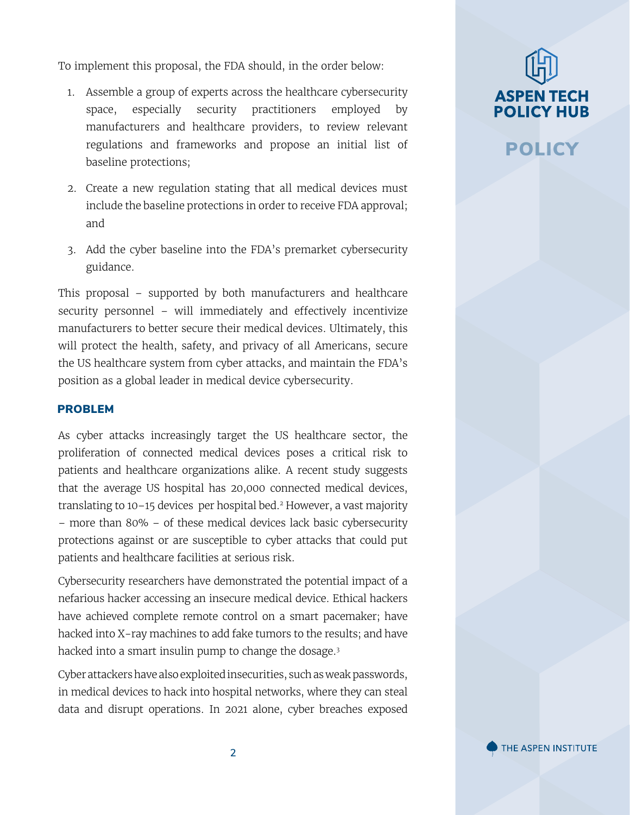To implement this proposal, the FDA should, in the order below:

- 1. Assemble a group of experts across the healthcare cybersecurity space, especially security practitioners employed by manufacturers and healthcare providers, to review relevant regulations and frameworks and propose an initial list of baseline protections;
- 2. Create a new regulation stating that all medical devices must include the baseline protections in order to receive FDA approval; and
- 3. Add the cyber baseline into the FDA's premarket cybersecurity guidance.

This proposal – supported by both manufacturers and healthcare security personnel – will immediately and effectively incentivize manufacturers to better secure their medical devices. Ultimately, this will protect the health, safety, and privacy of all Americans, secure the US healthcare system from cyber attacks, and maintain the FDA's position as a global leader in medical device cybersecurity.

#### PROBLEM

As cyber attacks increasingly target the US healthcare sector, the proliferation of connected medical devices poses a critical risk to patients and healthcare organizations alike. A recent study suggests that the average US hospital has 20,000 connected medical devices, translating to 10–15 devices per hospital bed.2 However, a vast majority – more than 80% – of these medical devices lack basic cybersecurity protections against or are susceptible to cyber attacks that could put patients and healthcare facilities at serious risk.

Cybersecurity researchers have demonstrated the potential impact of a nefarious hacker accessing an insecure medical device. Ethical hackers have achieved complete remote control on a smart pacemaker; have hacked into X-ray machines to add fake tumors to the results; and have hacked into a smart insulin pump to change the dosage.<sup>3</sup>

Cyber attackers have also exploited insecurities, such as weak passwords, in medical devices to hack into hospital networks, where they can steal data and disrupt operations. In 2021 alone, cyber breaches exposed

## **ASPEN TECH POLICY HUB**

### POLICY

THE ASPEN INSTITUTE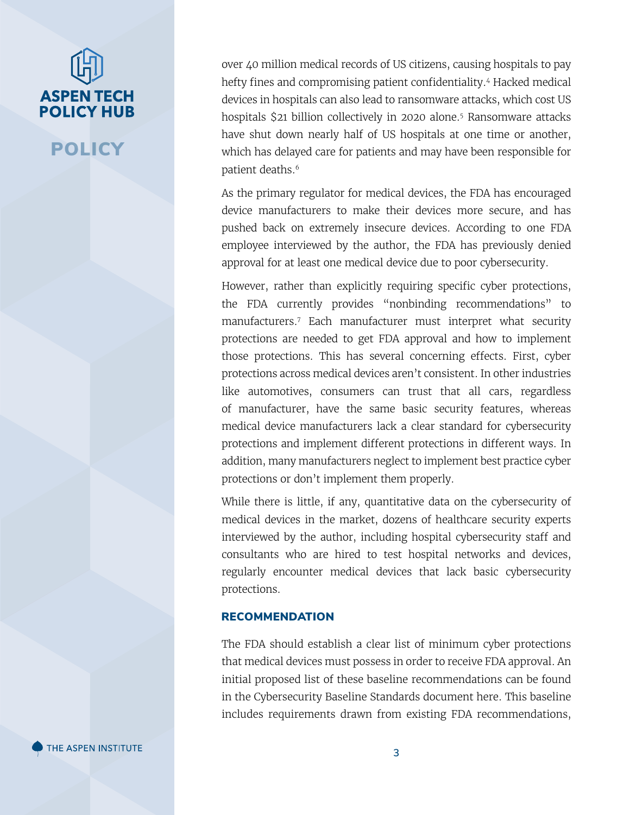## **ASPEN TECH POLICY HUB**

POLICY

over 40 million medical records of US citizens, causing hospitals to pay hefty fines and compromising patient confidentiality.<sup>4</sup> Hacked medical devices in hospitals can also lead to ransomware attacks, which cost US hospitals \$21 billion collectively in 2020 alone.5 Ransomware attacks have shut down nearly half of US hospitals at one time or another, which has delayed care for patients and may have been responsible for patient deaths.<sup>6</sup>

As the primary regulator for medical devices, the FDA has encouraged device manufacturers to make their devices more secure, and has pushed back on extremely insecure devices. According to one FDA employee interviewed by the author, the FDA has previously denied approval for at least one medical device due to poor cybersecurity.

However, rather than explicitly requiring specific cyber protections, the FDA currently provides "nonbinding recommendations" to manufacturers.<sup>7</sup> Each manufacturer must interpret what security protections are needed to get FDA approval and how to implement those protections. This has several concerning effects. First, cyber protections across medical devices aren't consistent. In other industries like automotives, consumers can trust that all cars, regardless of manufacturer, have the same basic security features, whereas medical device manufacturers lack a clear standard for cybersecurity protections and implement different protections in different ways. In addition, many manufacturers neglect to implement best practice cyber protections or don't implement them properly.

While there is little, if any, quantitative data on the cybersecurity of medical devices in the market, dozens of healthcare security experts interviewed by the author, including hospital cybersecurity staff and consultants who are hired to test hospital networks and devices, regularly encounter medical devices that lack basic cybersecurity protections.

#### RECOMMENDATION

The FDA should establish a clear list of minimum cyber protections that medical devices must possess in order to receive FDA approval. An initial proposed list of these baseline recommendations can be found in the Cybersecurity Baseline Standards document here. This baseline includes requirements drawn from existing FDA recommendations,

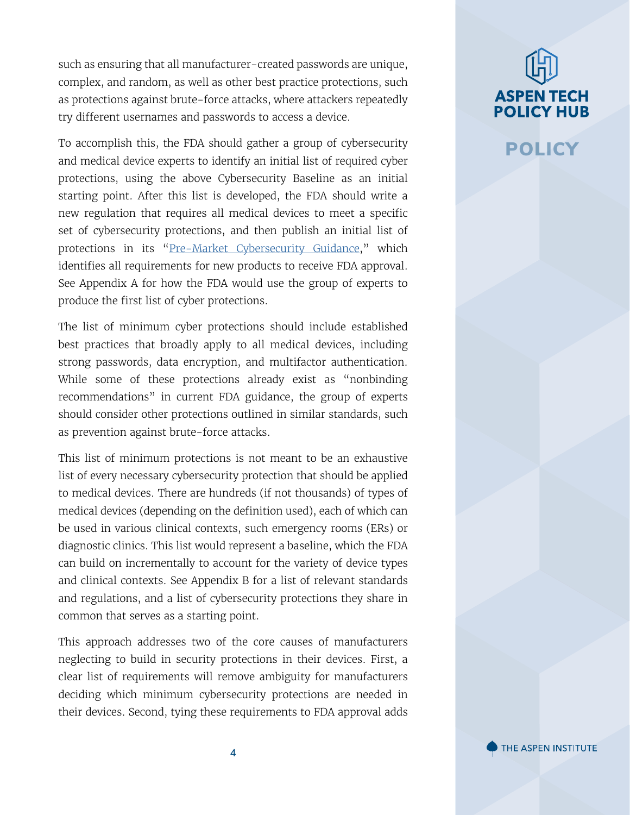such as ensuring that all manufacturer-created passwords are unique, complex, and random, as well as other best practice protections, such as protections against brute-force attacks, where attackers repeatedly try different usernames and passwords to access a device.

To accomplish this, the FDA should gather a group of cybersecurity and medical device experts to identify an initial list of required cyber protections, using the above Cybersecurity Baseline as an initial starting point. After this list is developed, the FDA should write a new regulation that requires all medical devices to meet a specific set of cybersecurity protections, and then publish an initial list of protections in its "[Pre-Market Cybersecurity Guidance](https://www.fda.gov/regulatory-information/search-fda-guidance-documents/content-premarket-submissions-management-cybersecurity-medical-devices)," which identifies all requirements for new products to receive FDA approval. See Appendix A for how the FDA would use the group of experts to produce the first list of cyber protections.

The list of minimum cyber protections should include established best practices that broadly apply to all medical devices, including strong passwords, data encryption, and multifactor authentication. While some of these protections already exist as "nonbinding recommendations" in current FDA guidance, the group of experts should consider other protections outlined in similar standards, such as prevention against brute-force attacks.

This list of minimum protections is not meant to be an exhaustive list of every necessary cybersecurity protection that should be applied to medical devices. There are hundreds (if not thousands) of types of medical devices (depending on the definition used), each of which can be used in various clinical contexts, such emergency rooms (ERs) or diagnostic clinics. This list would represent a baseline, which the FDA can build on incrementally to account for the variety of device types and clinical contexts. See Appendix B for a list of relevant standards and regulations, and a list of cybersecurity protections they share in common that serves as a starting point.

This approach addresses two of the core causes of manufacturers neglecting to build in security protections in their devices. First, a clear list of requirements will remove ambiguity for manufacturers deciding which minimum cybersecurity protections are needed in their devices. Second, tying these requirements to FDA approval adds

## **ASPEN TECH POLICY HUB**

### POLICY

THE ASPEN INSTITUTE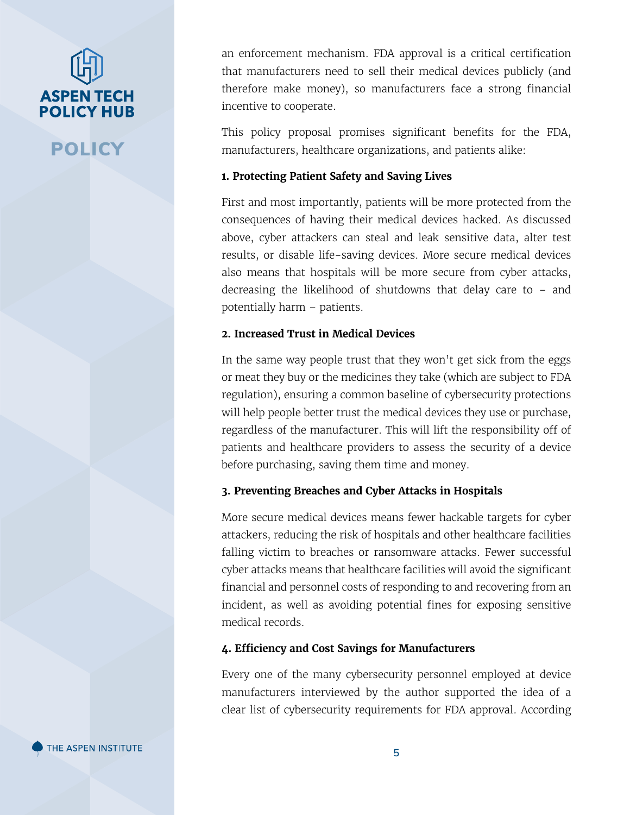# **ASPEN TECH POLICY HUB**

POLICY

an enforcement mechanism. FDA approval is a critical certification that manufacturers need to sell their medical devices publicly (and therefore make money), so manufacturers face a strong financial incentive to cooperate.

This policy proposal promises significant benefits for the FDA, manufacturers, healthcare organizations, and patients alike:

#### **1. Protecting Patient Safety and Saving Lives**

First and most importantly, patients will be more protected from the consequences of having their medical devices hacked. As discussed above, cyber attackers can steal and leak sensitive data, alter test results, or disable life-saving devices. More secure medical devices also means that hospitals will be more secure from cyber attacks, decreasing the likelihood of shutdowns that delay care to – and potentially harm – patients.

#### **2. Increased Trust in Medical Devices**

In the same way people trust that they won't get sick from the eggs or meat they buy or the medicines they take (which are subject to FDA regulation), ensuring a common baseline of cybersecurity protections will help people better trust the medical devices they use or purchase, regardless of the manufacturer. This will lift the responsibility off of patients and healthcare providers to assess the security of a device before purchasing, saving them time and money.

#### **3. Preventing Breaches and Cyber Attacks in Hospitals**

More secure medical devices means fewer hackable targets for cyber attackers, reducing the risk of hospitals and other healthcare facilities falling victim to breaches or ransomware attacks. Fewer successful cyber attacks means that healthcare facilities will avoid the significant financial and personnel costs of responding to and recovering from an incident, as well as avoiding potential fines for exposing sensitive medical records.

#### **4. Efficiency and Cost Savings for Manufacturers**

Every one of the many cybersecurity personnel employed at device manufacturers interviewed by the author supported the idea of a clear list of cybersecurity requirements for FDA approval. According

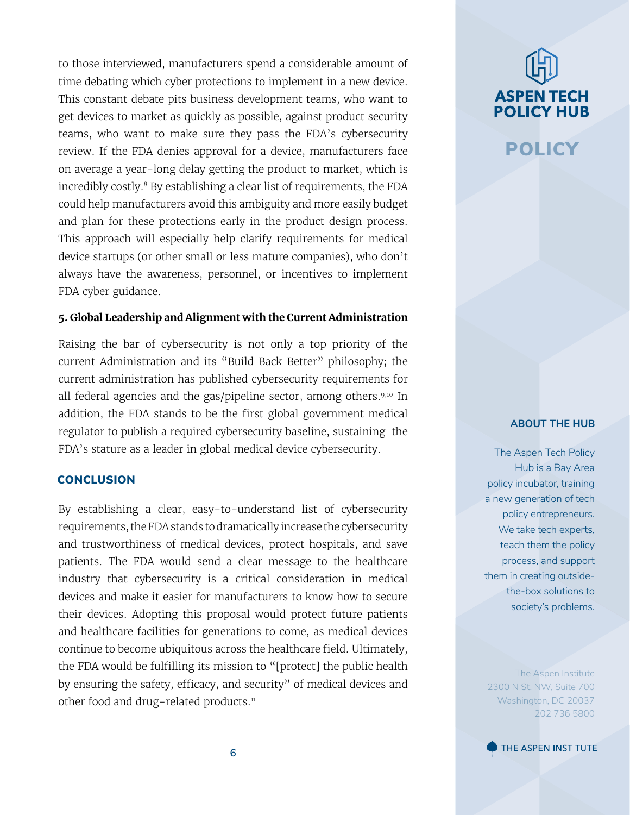to those interviewed, manufacturers spend a considerable amount of time debating which cyber protections to implement in a new device. This constant debate pits business development teams, who want to get devices to market as quickly as possible, against product security teams, who want to make sure they pass the FDA's cybersecurity review. If the FDA denies approval for a device, manufacturers face on average a year-long delay getting the product to market, which is incredibly costly.<sup>8</sup> By establishing a clear list of requirements, the FDA could help manufacturers avoid this ambiguity and more easily budget and plan for these protections early in the product design process. This approach will especially help clarify requirements for medical device startups (or other small or less mature companies), who don't always have the awareness, personnel, or incentives to implement FDA cyber guidance.

#### **5. Global Leadership and Alignment with the Current Administration**

Raising the bar of cybersecurity is not only a top priority of the current Administration and its "Build Back Better" philosophy; the current administration has published cybersecurity requirements for all federal agencies and the gas/pipeline sector, among others.<sup>9,10</sup> In addition, the FDA stands to be the first global government medical regulator to publish a required cybersecurity baseline, sustaining the FDA's stature as a leader in global medical device cybersecurity.

#### **CONCLUSION**

By establishing a clear, easy-to-understand list of cybersecurity requirements, the FDA stands to dramatically increase the cybersecurity and trustworthiness of medical devices, protect hospitals, and save patients. The FDA would send a clear message to the healthcare industry that cybersecurity is a critical consideration in medical devices and make it easier for manufacturers to know how to secure their devices. Adopting this proposal would protect future patients and healthcare facilities for generations to come, as medical devices continue to become ubiquitous across the healthcare field. Ultimately, the FDA would be fulfilling its mission to "[protect] the public health by ensuring the safety, efficacy, and security" of medical devices and other food and drug-related products.<sup>11</sup>

# **ASPEN TECH POLICY HUB**

### POLICY

#### **ABOUT THE HUB**

The Aspen Tech Policy Hub is a Bay Area policy incubator, training a new generation of tech policy entrepreneurs. We take tech experts, teach them the policy process, and support them in creating outsidethe-box solutions to society's problems.

The Aspen Institute 2300 N St. NW, Suite 700 Washington, DC 20037 202 736 5800

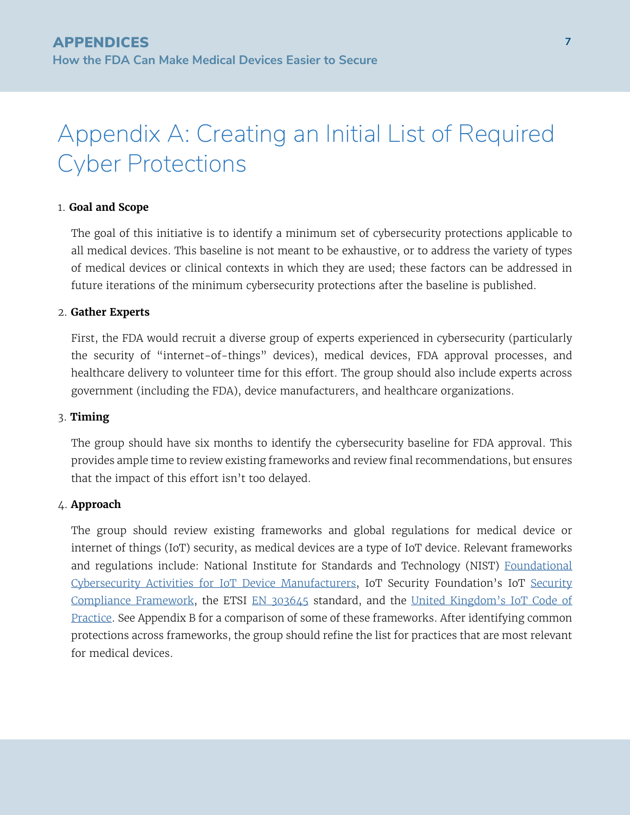### Appendix A: Creating an Initial List of Required Cyber Protections

#### 1. **Goal and Scope**

The goal of this initiative is to identify a minimum set of cybersecurity protections applicable to all medical devices. This baseline is not meant to be exhaustive, or to address the variety of types of medical devices or clinical contexts in which they are used; these factors can be addressed in future iterations of the minimum cybersecurity protections after the baseline is published.

#### 2. **Gather Experts**

First, the FDA would recruit a diverse group of experts experienced in cybersecurity (particularly the security of "internet-of-things" devices), medical devices, FDA approval processes, and healthcare delivery to volunteer time for this effort. The group should also include experts across government (including the FDA), device manufacturers, and healthcare organizations.

#### 3. **Timing**

The group should have six months to identify the cybersecurity baseline for FDA approval. This provides ample time to review existing frameworks and review final recommendations, but ensures that the impact of this effort isn't too delayed.

#### 4. **Approach**

The group should review existing frameworks and global regulations for medical device or internet of things (IoT) security, as medical devices are a type of IoT device. Relevant frameworks and regulations include: National Institute for Standards and Technology (NIST) [Foundational](https://csrc.nist.gov/publications/detail/nistir/8259/final) [Cybersecurity Activities for IoT Device Manufacturers](https://csrc.nist.gov/publications/detail/nistir/8259/final), IoT Security Foundation's IoT [Security](https://www.iotsecurityfoundation.org/wp-content/uploads/2021/11/IoTSF-IoT-Security-Assurance-Framework-Release-3.0-Nov-2021-1.pdf) [Compliance Framework,](https://www.iotsecurityfoundation.org/wp-content/uploads/2021/11/IoTSF-IoT-Security-Assurance-Framework-Release-3.0-Nov-2021-1.pdf) the ETSI [EN 303645](https://www.etsi.org/deliver/etsi_en/303600_303699/303645/02.01.00_30/en_303645v020100v.pdf) standard, and the [United Kingdom's IoT Code of](https://assets.publishing.service.gov.uk/government/uploads/system/uploads/attachment_data/file/971440/Code_of_Practice_for_Consumer_IoT_Security_October_2018_V2.pdf) [Practice](https://assets.publishing.service.gov.uk/government/uploads/system/uploads/attachment_data/file/971440/Code_of_Practice_for_Consumer_IoT_Security_October_2018_V2.pdf). See Appendix B for a comparison of some of these frameworks. After identifying common protections across frameworks, the group should refine the list for practices that are most relevant for medical devices.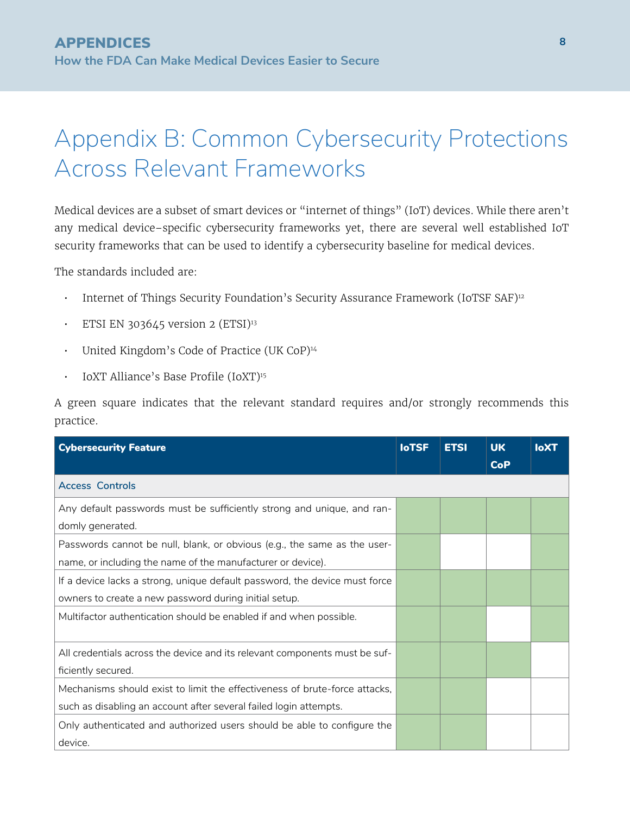### Appendix B: Common Cybersecurity Protections Across Relevant Frameworks

Medical devices are a subset of smart devices or "internet of things" (IoT) devices. While there aren't any medical device–specific cybersecurity frameworks yet, there are several well established IoT security frameworks that can be used to identify a cybersecurity baseline for medical devices.

The standards included are:

- Internet of Things Security Foundation's Security Assurance Framework (IoTSF SAF)<sup>12</sup>
- ETSI EN 303645 version 2 (ETSI) $13$
- United Kingdom's Code of Practice (UK CoP)<sup>14</sup>
- IoXT Alliance's Base Profile (IoXT)<sup>15</sup>

A green square indicates that the relevant standard requires and/or strongly recommends this practice.

| <b>Cybersecurity Feature</b>                                                                                                                    | <b>IoTSF</b> | <b>ETSI</b> | <b>UK</b><br><b>CoP</b> | <b>IoXT</b> |
|-------------------------------------------------------------------------------------------------------------------------------------------------|--------------|-------------|-------------------------|-------------|
| <b>Access Controls</b>                                                                                                                          |              |             |                         |             |
| Any default passwords must be sufficiently strong and unique, and ran-<br>domly generated.                                                      |              |             |                         |             |
| Passwords cannot be null, blank, or obvious (e.g., the same as the user-<br>name, or including the name of the manufacturer or device).         |              |             |                         |             |
| If a device lacks a strong, unique default password, the device must force<br>owners to create a new password during initial setup.             |              |             |                         |             |
| Multifactor authentication should be enabled if and when possible.                                                                              |              |             |                         |             |
| All credentials across the device and its relevant components must be suf-<br>ficiently secured.                                                |              |             |                         |             |
| Mechanisms should exist to limit the effectiveness of brute-force attacks,<br>such as disabling an account after several failed login attempts. |              |             |                         |             |
| Only authenticated and authorized users should be able to configure the<br>device.                                                              |              |             |                         |             |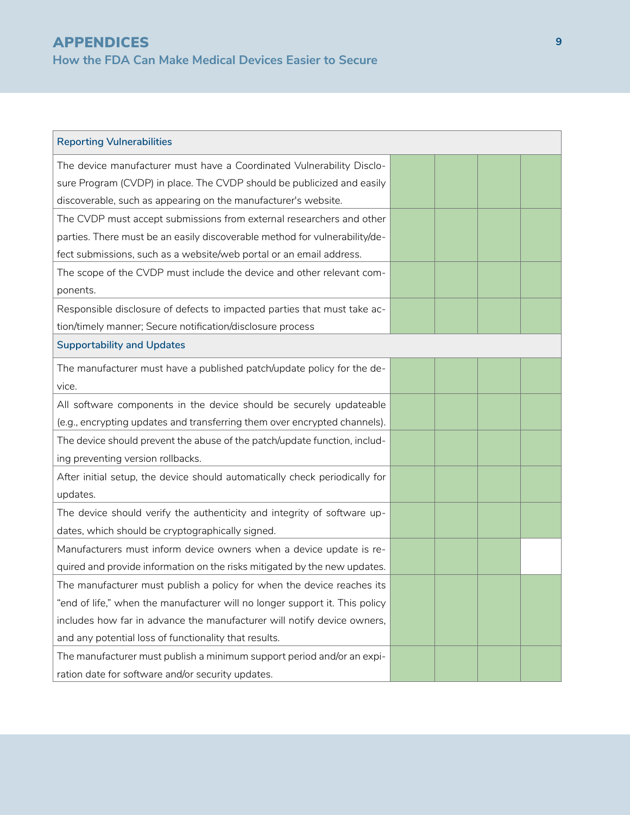| <b>Reporting Vulnerabilities</b>                                            |  |  |
|-----------------------------------------------------------------------------|--|--|
| The device manufacturer must have a Coordinated Vulnerability Disclo-       |  |  |
| sure Program (CVDP) in place. The CVDP should be publicized and easily      |  |  |
| discoverable, such as appearing on the manufacturer's website.              |  |  |
| The CVDP must accept submissions from external researchers and other        |  |  |
| parties. There must be an easily discoverable method for vulnerability/de-  |  |  |
| fect submissions, such as a website/web portal or an email address.         |  |  |
| The scope of the CVDP must include the device and other relevant com-       |  |  |
| ponents.                                                                    |  |  |
| Responsible disclosure of defects to impacted parties that must take ac-    |  |  |
| tion/timely manner; Secure notification/disclosure process                  |  |  |
| <b>Supportability and Updates</b>                                           |  |  |
| The manufacturer must have a published patch/update policy for the de-      |  |  |
| vice.                                                                       |  |  |
| All software components in the device should be securely updateable         |  |  |
| (e.g., encrypting updates and transferring them over encrypted channels).   |  |  |
| The device should prevent the abuse of the patch/update function, includ-   |  |  |
| ing preventing version rollbacks.                                           |  |  |
| After initial setup, the device should automatically check periodically for |  |  |
| updates.                                                                    |  |  |
| The device should verify the authenticity and integrity of software up-     |  |  |
| dates, which should be cryptographically signed.                            |  |  |
| Manufacturers must inform device owners when a device update is re-         |  |  |
| quired and provide information on the risks mitigated by the new updates.   |  |  |
| The manufacturer must publish a policy for when the device reaches its      |  |  |
| "end of life," when the manufacturer will no longer support it. This policy |  |  |
| includes how far in advance the manufacturer will notify device owners,     |  |  |
| and any potential loss of functionality that results.                       |  |  |
| The manufacturer must publish a minimum support period and/or an expi-      |  |  |
| ration date for software and/or security updates.                           |  |  |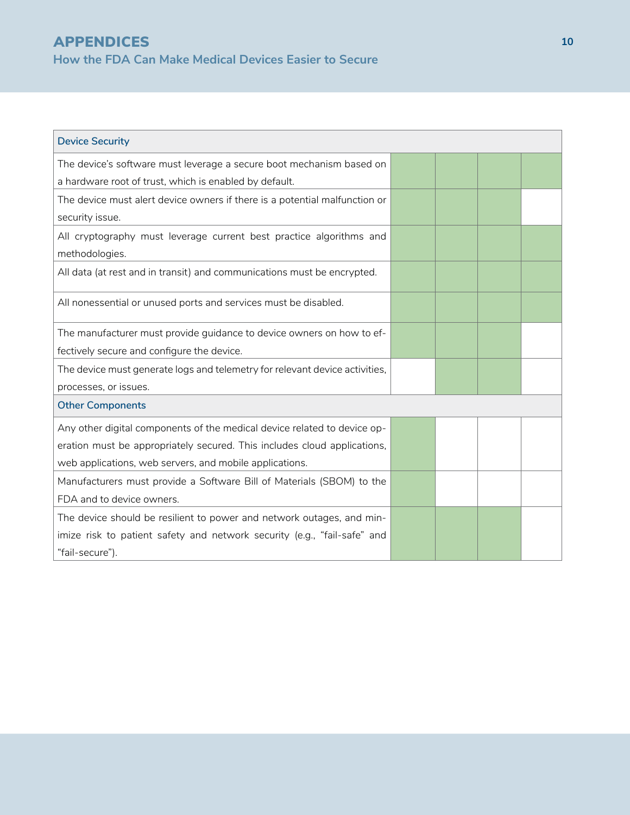**How the FDA Can Make Medical Devices Easier to Secure** 

APPENDICES

| <b>Device Security</b>                                                                |  |  |  |  |
|---------------------------------------------------------------------------------------|--|--|--|--|
| The device's software must leverage a secure boot mechanism based on                  |  |  |  |  |
| a hardware root of trust, which is enabled by default.                                |  |  |  |  |
| The device must alert device owners if there is a potential malfunction or            |  |  |  |  |
| security issue.                                                                       |  |  |  |  |
| All cryptography must leverage current best practice algorithms and<br>methodologies. |  |  |  |  |
| All data (at rest and in transit) and communications must be encrypted.               |  |  |  |  |
| All nonessential or unused ports and services must be disabled.                       |  |  |  |  |
| The manufacturer must provide guidance to device owners on how to ef-                 |  |  |  |  |
| fectively secure and configure the device.                                            |  |  |  |  |
| The device must generate logs and telemetry for relevant device activities,           |  |  |  |  |
| processes, or issues.                                                                 |  |  |  |  |
| <b>Other Components</b>                                                               |  |  |  |  |
| Any other digital components of the medical device related to device op-              |  |  |  |  |
| eration must be appropriately secured. This includes cloud applications,              |  |  |  |  |
| web applications, web servers, and mobile applications.                               |  |  |  |  |
| Manufacturers must provide a Software Bill of Materials (SBOM) to the                 |  |  |  |  |
| FDA and to device owners.                                                             |  |  |  |  |
| The device should be resilient to power and network outages, and min-                 |  |  |  |  |
| imize risk to patient safety and network security (e.g., "fail-safe" and              |  |  |  |  |
| "fail-secure").                                                                       |  |  |  |  |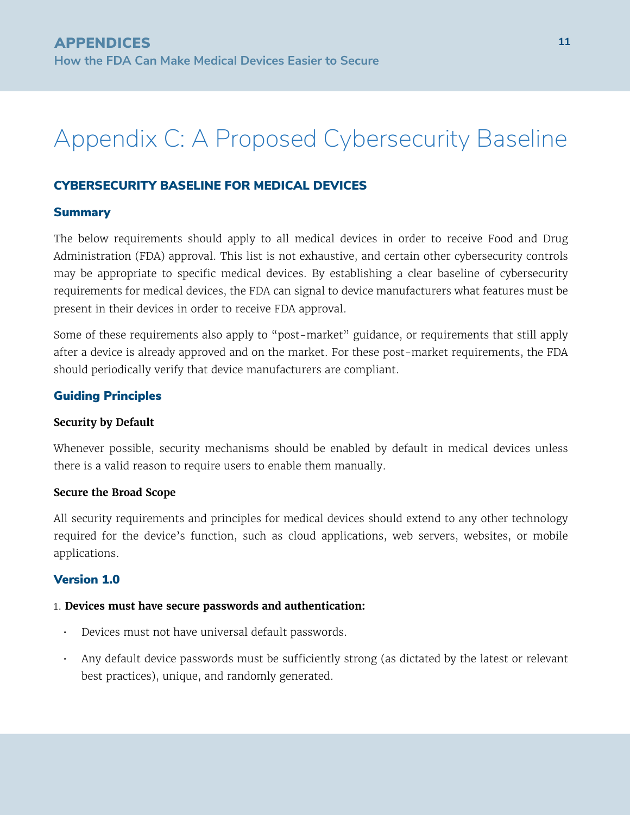## Appendix C: A Proposed Cybersecurity Baseline

#### CYBERSECURITY BASELINE FOR MEDICAL DEVICES

#### Summary

The below requirements should apply to all medical devices in order to receive Food and Drug Administration (FDA) approval. This list is not exhaustive, and certain other cybersecurity controls may be appropriate to specific medical devices. By establishing a clear baseline of cybersecurity requirements for medical devices, the FDA can signal to device manufacturers what features must be present in their devices in order to receive FDA approval.

Some of these requirements also apply to "post-market" guidance, or requirements that still apply after a device is already approved and on the market. For these post-market requirements, the FDA should periodically verify that device manufacturers are compliant.

#### Guiding Principles

#### **Security by Default**

Whenever possible, security mechanisms should be enabled by default in medical devices unless there is a valid reason to require users to enable them manually.

#### **Secure the Broad Scope**

All security requirements and principles for medical devices should extend to any other technology required for the device's function, such as cloud applications, web servers, websites, or mobile applications.

#### Version 1.0

#### 1. **Devices must have secure passwords and authentication:**

- Devices must not have universal default passwords.
- Any default device passwords must be sufficiently strong (as dictated by the latest or relevant best practices), unique, and randomly generated.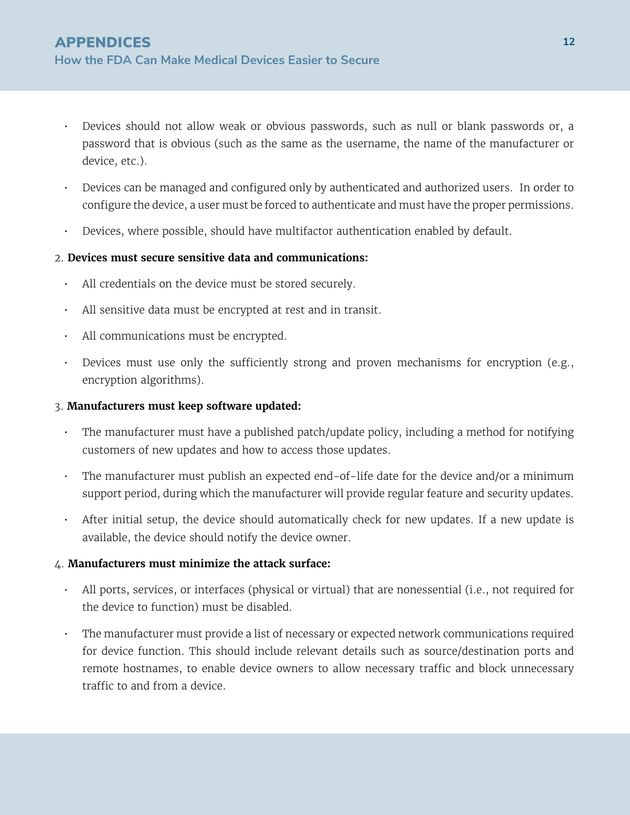- Devices should not allow weak or obvious passwords, such as null or blank passwords or, a password that is obvious (such as the same as the username, the name of the manufacturer or device, etc.).
- Devices can be managed and configured only by authenticated and authorized users. In order to configure the device, a user must be forced to authenticate and must have the proper permissions.
- Devices, where possible, should have multifactor authentication enabled by default.

#### 2. **Devices must secure sensitive data and communications:**

- All credentials on the device must be stored securely.
- All sensitive data must be encrypted at rest and in transit.
- All communications must be encrypted.
- Devices must use only the sufficiently strong and proven mechanisms for encryption (e.g., encryption algorithms).

#### 3. **Manufacturers must keep software updated:**

- The manufacturer must have a published patch/update policy, including a method for notifying customers of new updates and how to access those updates.
- The manufacturer must publish an expected end-of-life date for the device and/or a minimum support period, during which the manufacturer will provide regular feature and security updates.
- After initial setup, the device should automatically check for new updates. If a new update is available, the device should notify the device owner.

#### 4. **Manufacturers must minimize the attack surface:**

- All ports, services, or interfaces (physical or virtual) that are nonessential (i.e., not required for the device to function) must be disabled.
- The manufacturer must provide a list of necessary or expected network communications required for device function. This should include relevant details such as source/destination ports and remote hostnames, to enable device owners to allow necessary traffic and block unnecessary traffic to and from a device.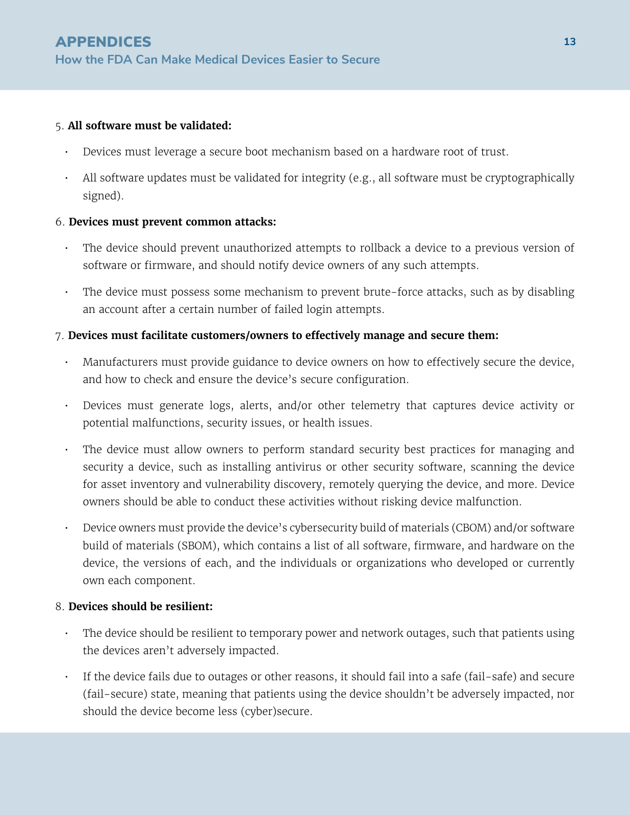#### 5. **All software must be validated:**

- Devices must leverage a secure boot mechanism based on a hardware root of trust.
- All software updates must be validated for integrity (e.g., all software must be cryptographically signed).

#### 6. **Devices must prevent common attacks:**

- The device should prevent unauthorized attempts to rollback a device to a previous version of software or firmware, and should notify device owners of any such attempts.
- The device must possess some mechanism to prevent brute-force attacks, such as by disabling an account after a certain number of failed login attempts.

#### 7. **Devices must facilitate customers/owners to effectively manage and secure them:**

- Manufacturers must provide guidance to device owners on how to effectively secure the device, and how to check and ensure the device's secure configuration.
- Devices must generate logs, alerts, and/or other telemetry that captures device activity or potential malfunctions, security issues, or health issues.
- The device must allow owners to perform standard security best practices for managing and security a device, such as installing antivirus or other security software, scanning the device for asset inventory and vulnerability discovery, remotely querying the device, and more. Device owners should be able to conduct these activities without risking device malfunction.
- Device owners must provide the device's cybersecurity build of materials (CBOM) and/or software build of materials (SBOM), which contains a list of all software, firmware, and hardware on the device, the versions of each, and the individuals or organizations who developed or currently own each component.

#### 8. **Devices should be resilient:**

- The device should be resilient to temporary power and network outages, such that patients using the devices aren't adversely impacted.
- If the device fails due to outages or other reasons, it should fail into a safe (fail-safe) and secure (fail-secure) state, meaning that patients using the device shouldn't be adversely impacted, nor should the device become less (cyber)secure.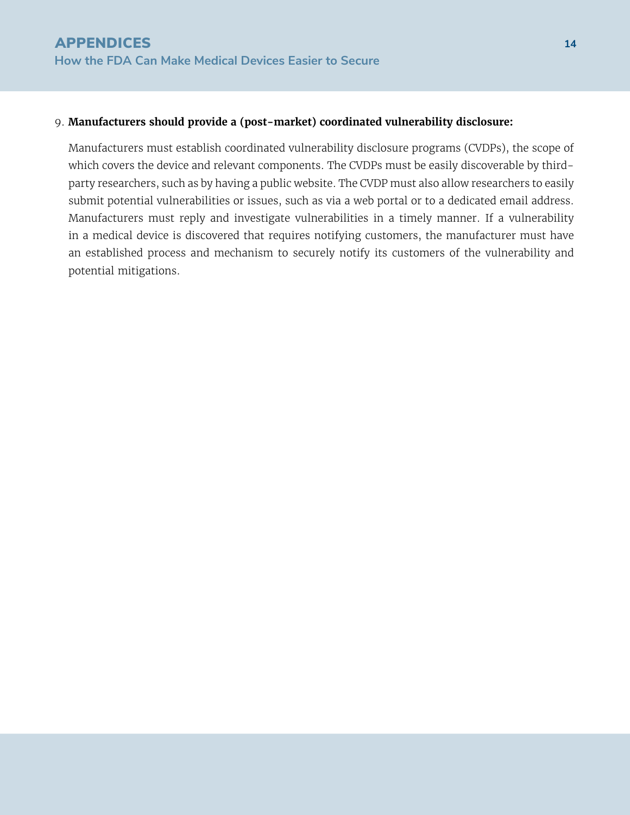**14**

#### 9. **Manufacturers should provide a (post-market) coordinated vulnerability disclosure:**

Manufacturers must establish coordinated vulnerability disclosure programs (CVDPs), the scope of which covers the device and relevant components. The CVDPs must be easily discoverable by thirdparty researchers, such as by having a public website. The CVDP must also allow researchers to easily submit potential vulnerabilities or issues, such as via a web portal or to a dedicated email address. Manufacturers must reply and investigate vulnerabilities in a timely manner. If a vulnerability in a medical device is discovered that requires notifying customers, the manufacturer must have an established process and mechanism to securely notify its customers of the vulnerability and potential mitigations.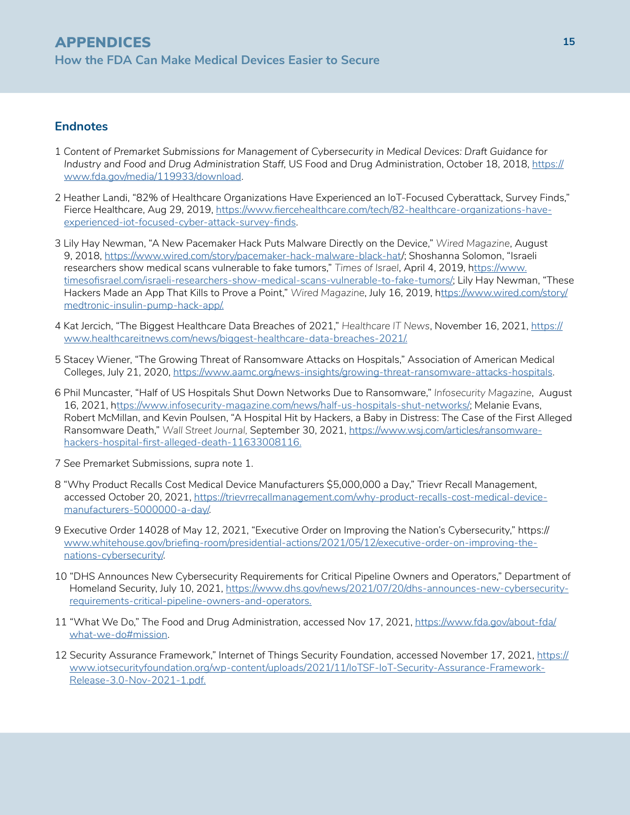#### **Endnotes**

- 1 *Content of Premarket Submissions for Management of Cybersecurity in Medical Devices: Draft Guidance for Industry and Food and Drug Administration Staff, US Food and Drug Administration, October 18, 2018, [https://](https://www.fda.gov/media/119933/download)* [www.fda.gov/media/119933/download.](https://www.fda.gov/media/119933/download)
- 2 Heather Landi, "82% of Healthcare Organizations Have Experienced an IoT-Focused Cyberattack, Survey Finds," Fierce Healthcare, Aug 29, 2019, [https://www.fiercehealthcare.com/tech/82-healthcare-organizations-have](https://www.fiercehealthcare.com/tech/82-healthcare-organizations-have-experienced-iot-focused-cyber-attack-survey-finds)[experienced-iot-focused-cyber-attack-survey-finds.](https://www.fiercehealthcare.com/tech/82-healthcare-organizations-have-experienced-iot-focused-cyber-attack-survey-finds)
- 3 Lily Hay Newman, "A New Pacemaker Hack Puts Malware Directly on the Device," *Wired Magazine*, August 9, 2018, <https://www.wired.com/story/pacemaker-hack-malware-black-hat>/; Shoshanna Solomon, "Israeli researchers show medical scans vulnerable to fake tumors," *Times of Israel*, April 4, 2019, h[ttps://www.](ttps://www.timesofisrael.com/israeli-researchers-show-medical-scans-vulnerable-to-fake-tumors/) [timesofisrael.com/israeli-researchers-show-medical-scans-vulnerable-to-fake-tumors/](ttps://www.timesofisrael.com/israeli-researchers-show-medical-scans-vulnerable-to-fake-tumors/); Lily Hay Newman, "These Hackers Made an App That Kills to Prove a Point," *Wired Magazine*, July 16, 2019, h[ttps://www.wired.com/story/](ttps://www.wired.com/story/medtronic-insulin-pump-hack-app/) [medtronic-insulin-pump-hack-app/.](ttps://www.wired.com/story/medtronic-insulin-pump-hack-app/)
- 4 Kat Jercich, "The Biggest Healthcare Data Breaches of 2021," *Healthcare IT News*, November 16, 2021, [https://](https://www.healthcareitnews.com/news/biggest-healthcare-data-breaches-2021/) [www.healthcareitnews.com/news/biggest-healthcare-data-breaches-2021/.](https://www.healthcareitnews.com/news/biggest-healthcare-data-breaches-2021/)
- 5 Stacey Wiener, "The Growing Threat of Ransomware Attacks on Hospitals," Association of American Medical Colleges, July 21, 2020,<https://www.aamc.org/news-insights/growing-threat-ransomware-attacks-hospitals>.
- 6 Phil Muncaster, "Half of US Hospitals Shut Down Networks Due to Ransomware," *Infosecurity Magazine*, August 16, 2021, [https://www.infosecurity-magazine.com/news/half-us-hospitals-shut-networks/;](ttps://www.infosecurity-magazine.com/news/half-us-hospitals-shut-networks/) Melanie Evans, Robert McMillan, and Kevin Poulsen, "A Hospital Hit by Hackers, a Baby in Distress: The Case of the First Alleged Ransomware Death," *Wall Street Journal,* September 30, 2021, [https://www.wsj.com/articles/ransomware](https://www.wsj.com/articles/ransomware-hackers-hospital-first-alleged-death-11633008116)[hackers-hospital-first-alleged-death-11633008116.](https://www.wsj.com/articles/ransomware-hackers-hospital-first-alleged-death-11633008116)
- 7 *See* Premarket Submissions, *supra* note 1.
- 8 "Why Product Recalls Cost Medical Device Manufacturers \$5,000,000 a Day," Trievr Recall Management, accessed October 20, 2021, [https://trievrrecallmanagement.com/why-product-recalls-cost-medical-device](https://trievrrecallmanagement.com/why-product-recalls-cost-medical-device-manufacturers-5000000-a-day/)[manufacturers-5000000-a-day/](https://trievrrecallmanagement.com/why-product-recalls-cost-medical-device-manufacturers-5000000-a-day/).
- 9 Executive Order 14028 of May 12, 2021, "Executive Order on Improving the Nation's Cybersecurity," https:// [www.whitehouse.gov/briefing-room/presidential-actions/2021/05/12/executive-order-on-improving-the](http://www.whitehouse.gov/briefing-room/presidential-actions/2021/05/12/executive-order-on-improving-the-nations-cybersecurity/)[nations-cybersecurity/.](http://www.whitehouse.gov/briefing-room/presidential-actions/2021/05/12/executive-order-on-improving-the-nations-cybersecurity/)
- 10 "DHS Announces New Cybersecurity Requirements for Critical Pipeline Owners and Operators," Department of Homeland Security, July 10, 2021, [https://www.dhs.gov/news/2021/07/20/dhs-announces-new-cybersecurity](https://www.dhs.gov/news/2021/07/20/dhs-announces-new-cybersecurity-requirements-critical-pipeline-owners-and-operators
)[requirements-critical-pipeline-owners-and-operators.](https://www.dhs.gov/news/2021/07/20/dhs-announces-new-cybersecurity-requirements-critical-pipeline-owners-and-operators
)
- 11 "What We Do," The Food and Drug Administration, accessed Nov 17, 2021, [https://www.fda.gov/about-fda/](https://www.fda.gov/about-fda/what-we-do#mission) [what-we-do#mission.](https://www.fda.gov/about-fda/what-we-do#mission)
- 12 Security Assurance Framework," Internet of Things Security Foundation, accessed November 17, 2021, [https://](https://www.iotsecurityfoundation.org/wp-content/uploads/2021/11/IoTSF-IoT-Security-Assurance-Framew) [www.iotsecurityfoundation.org/wp-content/uploads/2021/11/IoTSF-IoT-Security-Assurance-Framework-](https://www.iotsecurityfoundation.org/wp-content/uploads/2021/11/IoTSF-IoT-Security-Assurance-Framew)[Release-3.0-Nov-2021-1.pdf.](https://www.iotsecurityfoundation.org/wp-content/uploads/2021/11/IoTSF-IoT-Security-Assurance-Framew)